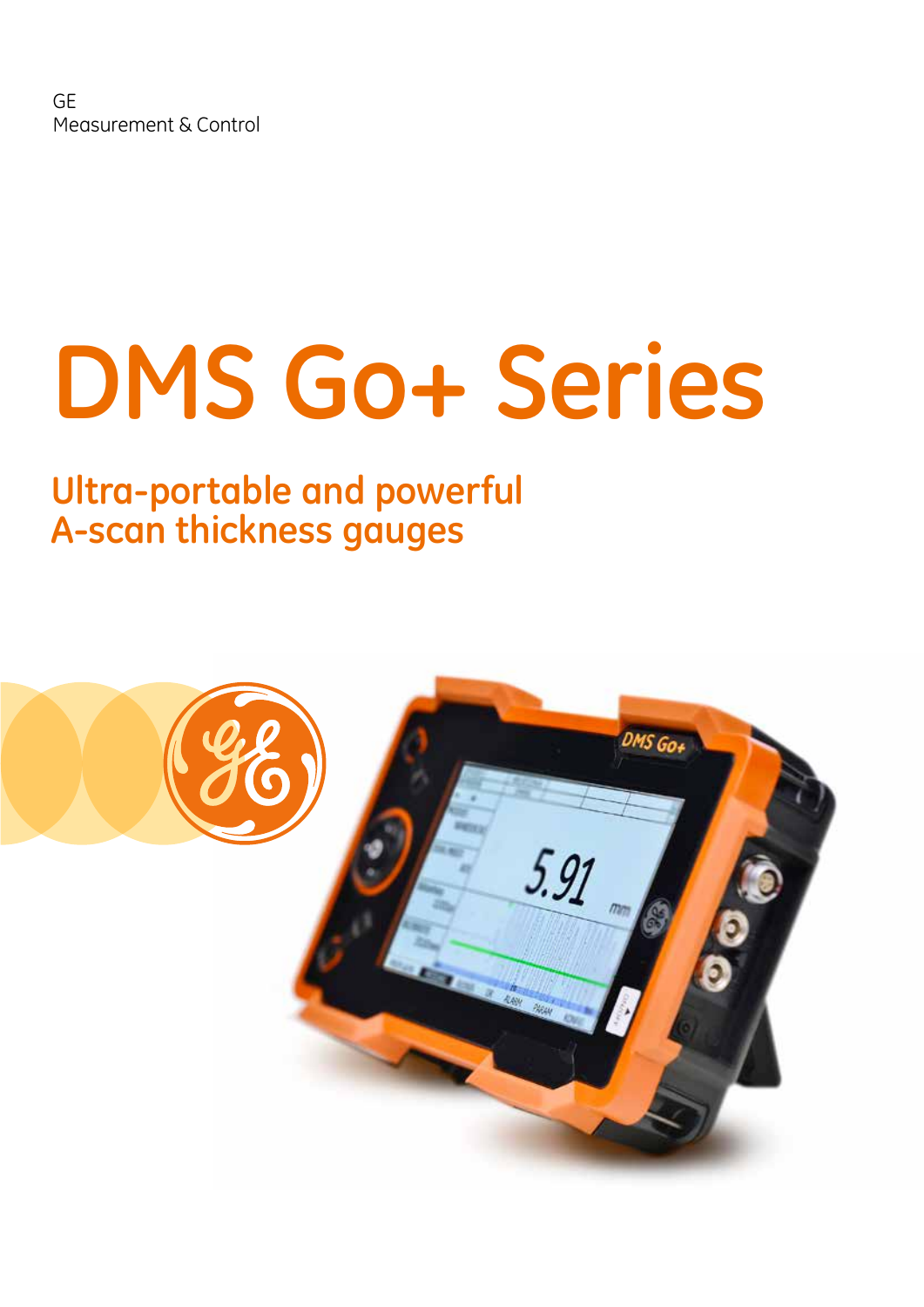# **DMS Go+ Series**

## **Ultra-portable and powerful A-scan thickness gauges**

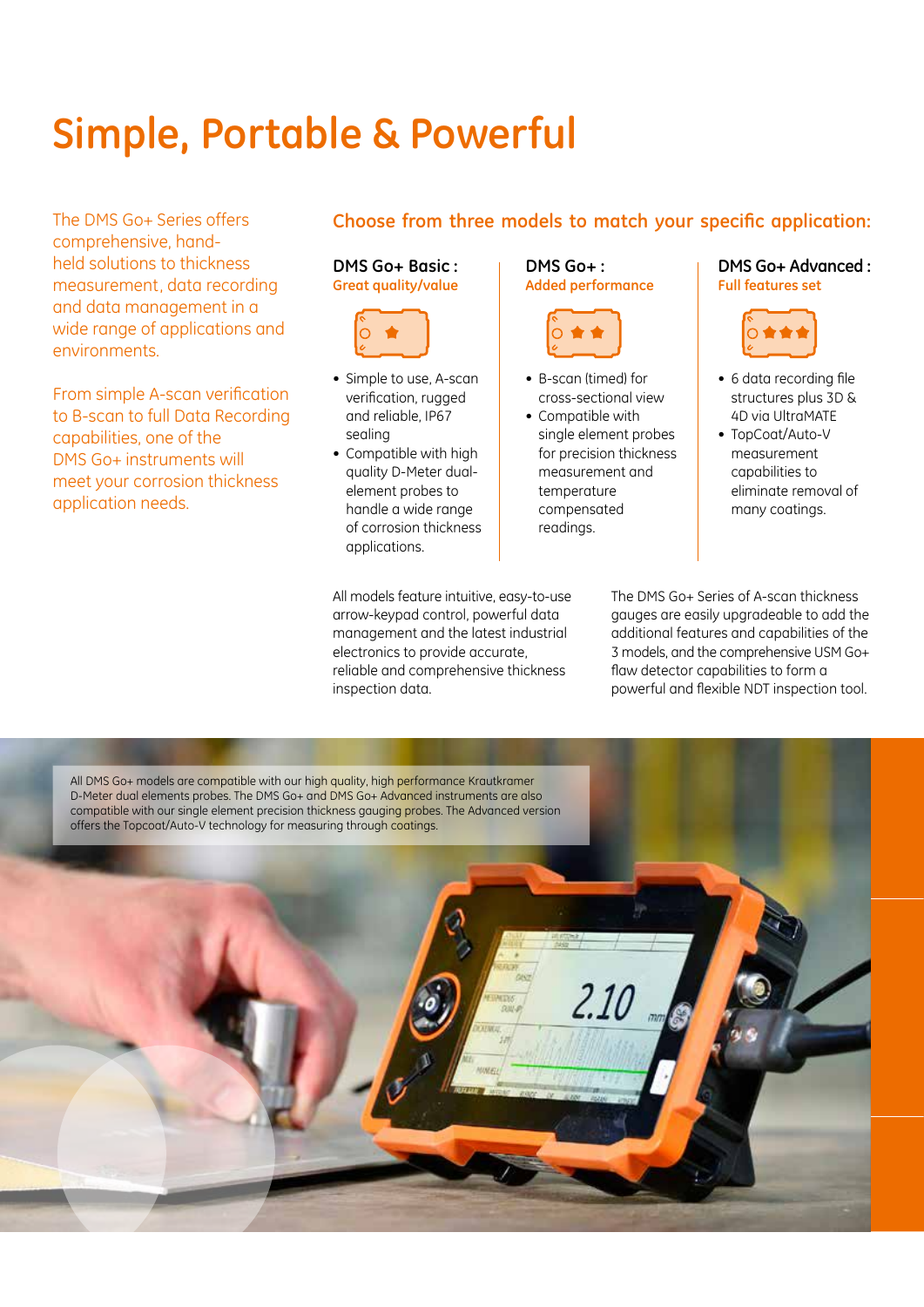## **Simple, Portable & Powerful**

The DMS Go+ Series offers comprehensive, handheld solutions to thickness measurement, data recording and data management in a wide range of applications and environments.

From simple A-scan verification to B-scan to full Data Recording capabilities, one of the DMS Go+ instruments will meet your corrosion thickness application needs.

#### **Choose from three models to match your specific application:**

**DMS Go+ Basic : Great quality/value**



- Simple to use, A-scan verification, rugged and reliable, IP67 sealing
- • Compatible with high quality D-Meter dualelement probes to handle a wide range of corrosion thickness applications.

inspection data.

All models feature intuitive, easy-to-use arrow-keypad control, powerful data management and the latest industrial electronics to provide accurate, reliable and comprehensive thickness

**DMS Go+ : Added performance**



- • B-scan (timed) for cross-sectional view
- Compatible with single element probes for precision thickness measurement and temperature compensated readings.

#### **DMS Go+ Advanced : Full features set**



- 6 data recording file structures plus 3D & 4D via UltraMATE
- TopCoat/Auto-V measurement capabilities to eliminate removal of many coatings.

The DMS Go+ Series of A-scan thickness gauges are easily upgradeable to add the additional features and capabilities of the 3 models, and the comprehensive USM Go+ flaw detector capabilities to form a powerful and flexible NDT inspection tool.

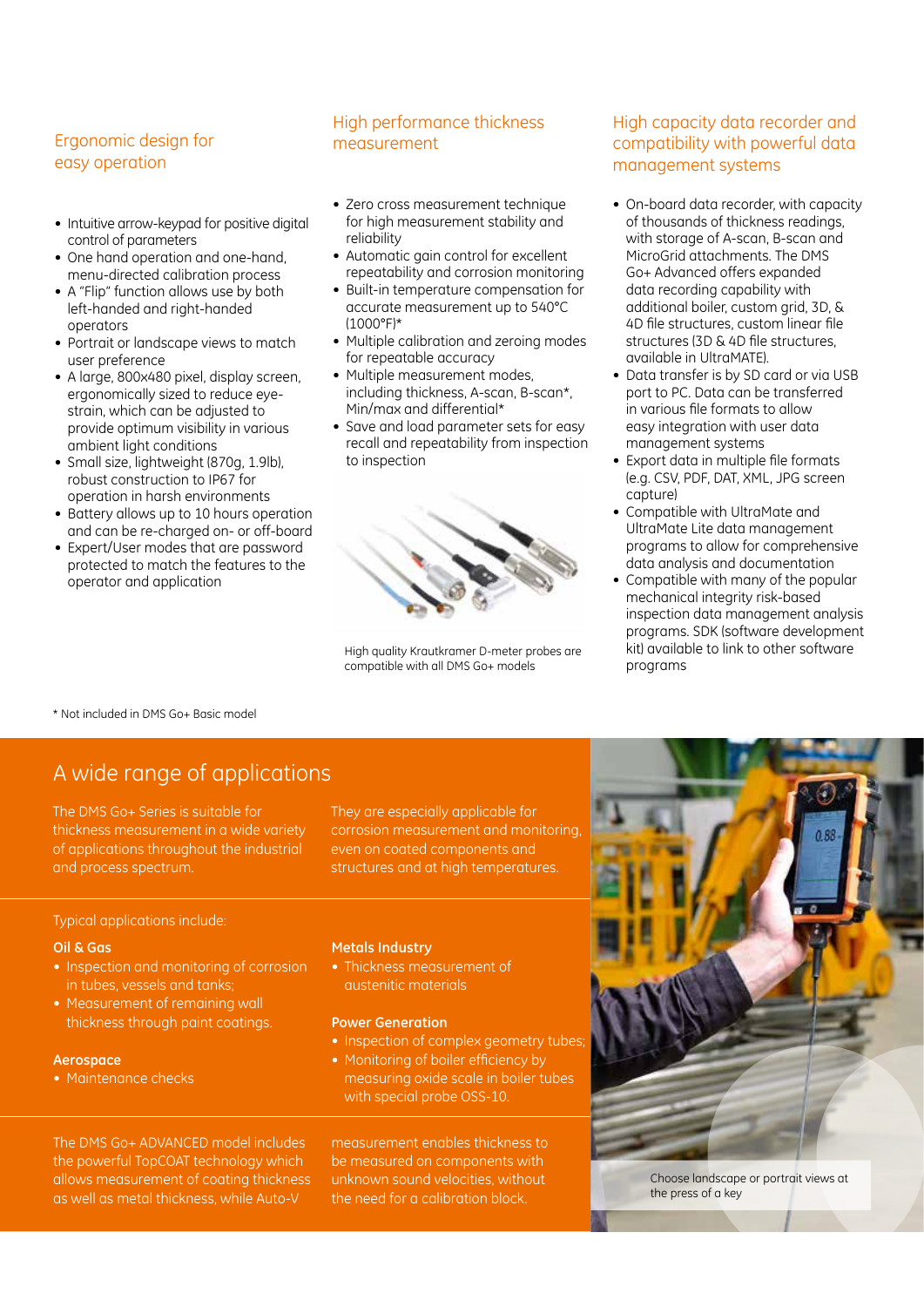#### Ergonomic design for easy operation

- Intuitive arrow-keypad for positive digital control of parameters
- One hand operation and one-hand. menu-directed calibration process
- A "Flip" function allows use by both left-handed and right-handed operators
- Portrait or landscape views to match user preference
- A large, 800x480 pixel, display screen, ergonomically sized to reduce eyestrain, which can be adjusted to provide optimum visibility in various ambient light conditions
- Small size, lightweight (870g, 1.9lb), robust construction to IP67 for operation in harsh environments
- Battery allows up to 10 hours operation and can be re-charged on- or off-board
- Expert/User modes that are password protected to match the features to the operator and application
- Zero cross measurement technique for high measurement stability and reliability
- Automatic gain control for excellent repeatability and corrosion monitoring
- Built-in temperature compensation for accurate measurement up to 540°C (1000°F)\*
- Multiple calibration and zeroing modes for repeatable accuracy
- Multiple measurement modes. including thickness, A-scan, B-scan\*, Min/max and differential\*
- Save and load parameter sets for easy recall and repeatability from inspection to inspection



High quality Krautkramer D-meter probes are compatible with all DMS Go+ models

#### High capacity data recorder and compatibility with powerful data management systems

- On-board data recorder, with capacity of thousands of thickness readings, with storage of A-scan, B-scan and MicroGrid attachments. The DMS Go+ Advanced offers expanded data recording capability with additional boiler, custom grid, 3D, & 4D file structures, custom linear file structures (3D & 4D file structures) available in UltraMATE).
- Data transfer is by SD card or via USB port to PC. Data can be transferred in various file formats to allow easy integration with user data management systems
- Export data in multiple file formats (e.g. CSV, PDF, DAT, XML, JPG screen capture)
- • Compatible with UltraMate and UltraMate Lite data management programs to allow for comprehensive data analysis and documentation
- Compatible with many of the popular mechanical integrity risk-based inspection data management analysis programs. SDK (software development kit) available to link to other software programs

\* Not included in DMS Go+ Basic model

### A wide range of applications

The DMS Go+ Series is suitable for thickness measurement in a wide variety of applications throughout the industrial and process spectrum.

They are especially applicable for corrosion measurement and monitoring, even on coated components and structures and at high temperatures.

#### Typical applications include:

#### **Oil & Gas**

- Inspection and monitoring of corrosion in tubes, vessels and tanks;
- Measurement of remaining wall thickness through paint coatings.

#### **Aerospace**

• Maintenance checks

#### **Metals Industry**

• Thickness measurement of austenitic materials

#### **Power Generation**

- Inspection of complex geometry tubes
- Monitoring of boiler efficiency by measuring oxide scale in boiler tubes with special probe OSS-10.

measurement enables thickness to be measured on components with unknown sound velocities, without the need for a calibration block.



Choose landscape or portrait views at the press of a key

The DMS Go+ ADVANCED model includes the powerful TopCOAT technology which allows measurement of coating thickness as well as metal thickness, while Auto-V